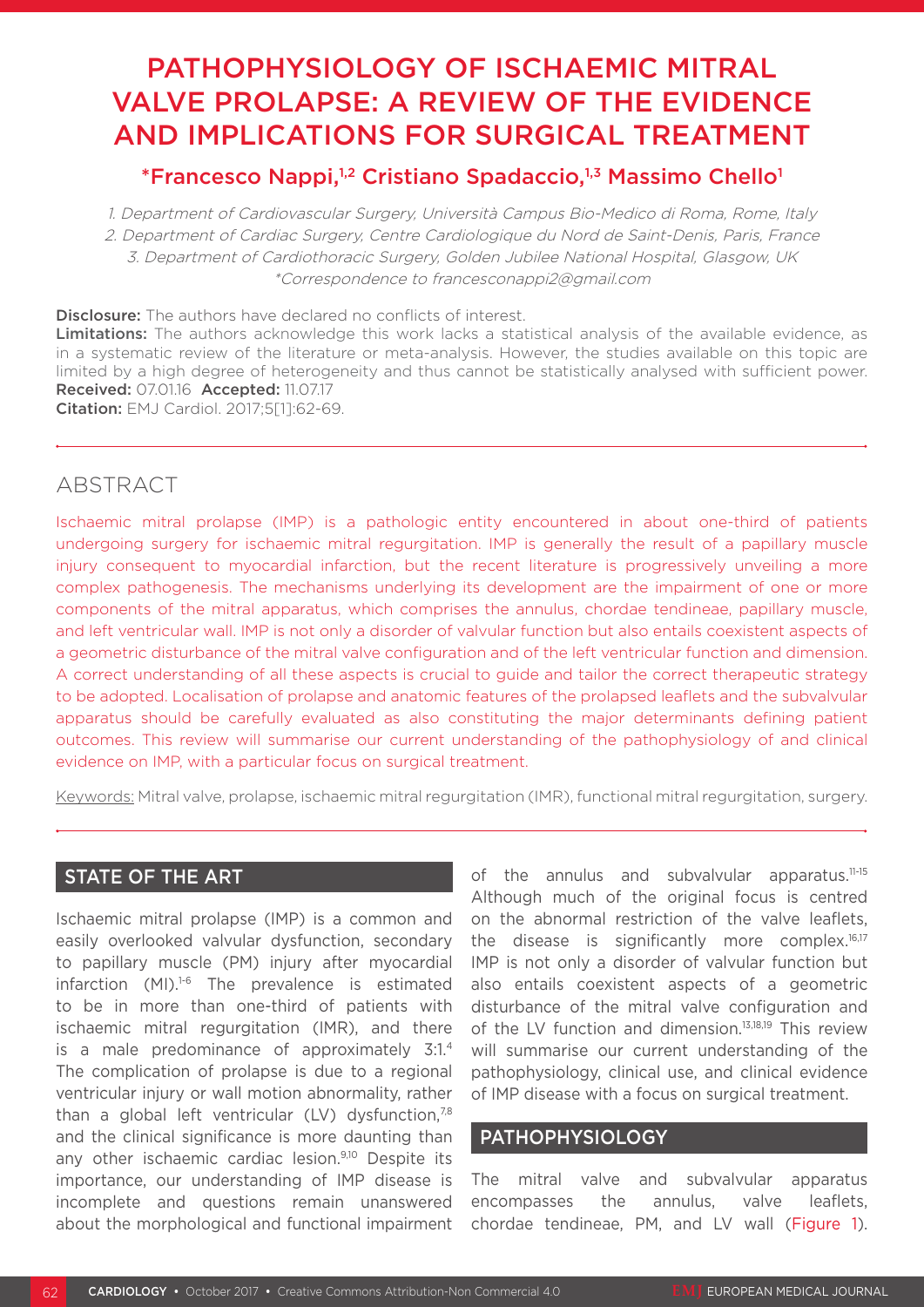# PATHOPHYSIOLOGY OF ISCHAEMIC MITRAL VALVE PROLAPSE: A REVIEW OF THE EVIDENCE AND IMPLICATIONS FOR SURGICAL TREATMENT

# \*Francesco Nappi,<sup>1,2</sup> Cristiano Spadaccio,<sup>1,3</sup> Massimo Chello<sup>1</sup>

1. Department of Cardiovascular Surgery, Università Campus Bio-Medico di Roma, Rome, Italy 2. Department of Cardiac Surgery, Centre Cardiologique du Nord de Saint-Denis, Paris, France 3. Department of Cardiothoracic Surgery, Golden Jubilee National Hospital, Glasgow, UK \*Correspondence to francesconappi2@gmail.com

**Disclosure:** The authors have declared no conflicts of interest. Limitations: The authors acknowledge this work lacks a statistical analysis of the available evidence, as in a systematic review of the literature or meta-analysis. However, the studies available on this topic are limited by a high degree of heterogeneity and thus cannot be statistically analysed with sufficient power. Received: 07.01.16 Accepted: 11.07.17 Citation: EMJ Cardiol. 2017;5[1]:62-69.

# ABSTRACT

Ischaemic mitral prolapse (IMP) is a pathologic entity encountered in about one-third of patients undergoing surgery for ischaemic mitral regurgitation. IMP is generally the result of a papillary muscle injury consequent to myocardial infarction, but the recent literature is progressively unveiling a more complex pathogenesis. The mechanisms underlying its development are the impairment of one or more components of the mitral apparatus, which comprises the annulus, chordae tendineae, papillary muscle, and left ventricular wall. IMP is not only a disorder of valvular function but also entails coexistent aspects of a geometric disturbance of the mitral valve configuration and of the left ventricular function and dimension. A correct understanding of all these aspects is crucial to guide and tailor the correct therapeutic strategy to be adopted. Localisation of prolapse and anatomic features of the prolapsed leaflets and the subvalvular apparatus should be carefully evaluated as also constituting the major determinants defining patient outcomes. This review will summarise our current understanding of the pathophysiology of and clinical evidence on IMP, with a particular focus on surgical treatment.

Keywords: Mitral valve, prolapse, ischaemic mitral regurgitation (IMR), functional mitral regurgitation, surgery.

### STATE OF THE ART

Ischaemic mitral prolapse (IMP) is a common and easily overlooked valvular dysfunction, secondary to papillary muscle (PM) injury after myocardial infarction (MI).<sup>1-6</sup> The prevalence is estimated to be in more than one-third of patients with ischaemic mitral regurgitation (IMR), and there is a male predominance of approximately 3:1.4 The complication of prolapse is due to a regional ventricular injury or wall motion abnormality, rather than a global left ventricular  $(LV)$  dysfunction,<sup>7,8</sup> and the clinical significance is more daunting than any other ischaemic cardiac lesion.<sup>9,10</sup> Despite its importance, our understanding of IMP disease is incomplete and questions remain unanswered about the morphological and functional impairment

of the annulus and subvalvular apparatus.<sup>11-15</sup> Although much of the original focus is centred on the abnormal restriction of the valve leaflets, the disease is significantly more complex.<sup>16,17</sup> IMP is not only a disorder of valvular function but also entails coexistent aspects of a geometric disturbance of the mitral valve configuration and of the LV function and dimension.13,18,19 This review will summarise our current understanding of the pathophysiology, clinical use, and clinical evidence of IMP disease with a focus on surgical treatment.

## PATHOPHYSIOLOGY

The mitral valve and subvalvular apparatus encompasses the annulus, valve leaflets, chordae tendineae, PM, and LV wall (Figure 1).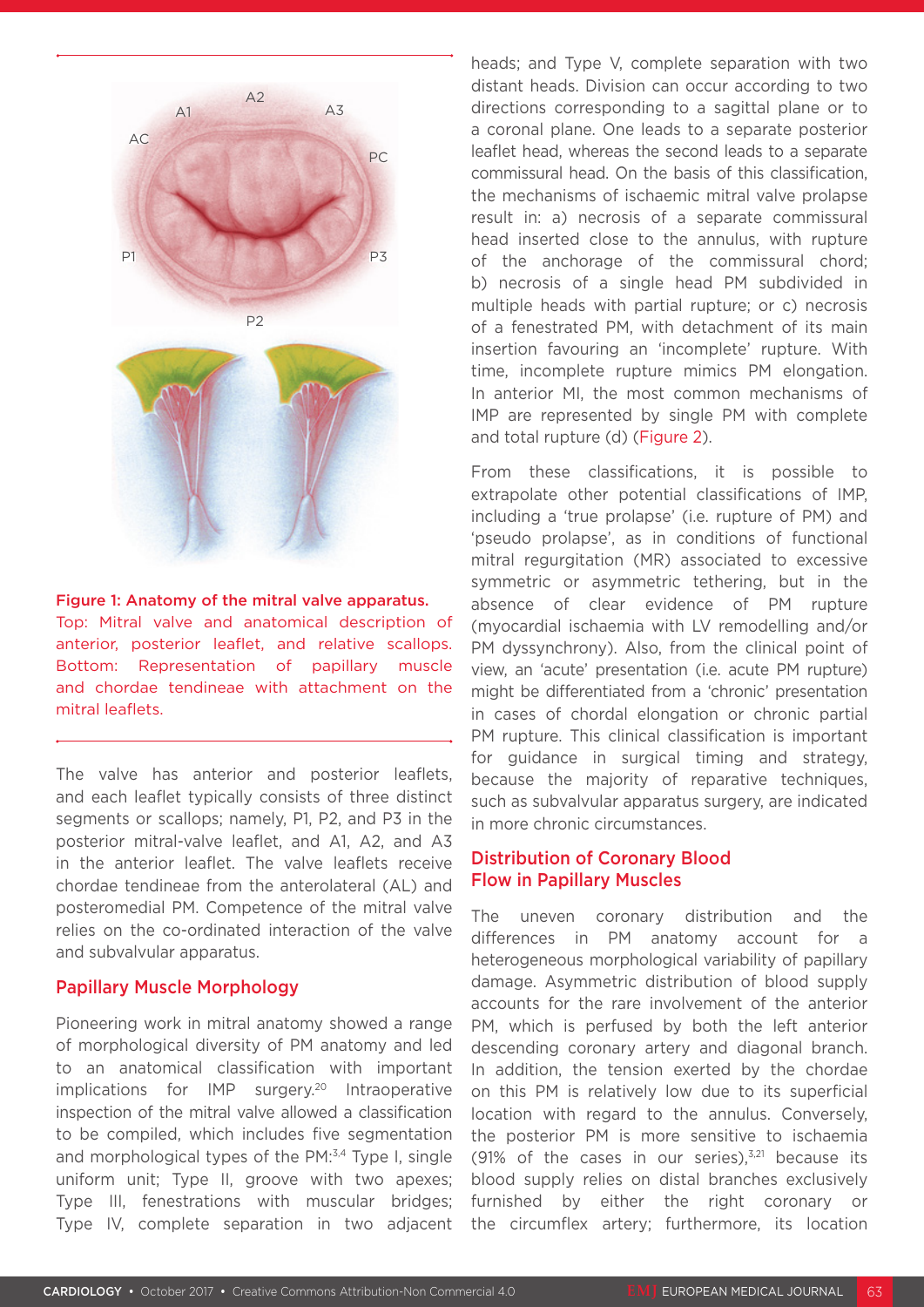

Figure 1: Anatomy of the mitral valve apparatus. Top: Mitral valve and anatomical description of anterior, posterior leaflet, and relative scallops. Bottom: Representation of papillary muscle and chordae tendineae with attachment on the mitral leaflets.

The valve has anterior and posterior leaflets, and each leaflet typically consists of three distinct segments or scallops; namely, P1, P2, and P3 in the posterior mitral-valve leaflet, and A1, A2, and A3 in the anterior leaflet. The valve leaflets receive chordae tendineae from the anterolateral (AL) and posteromedial PM. Competence of the mitral valve relies on the co-ordinated interaction of the valve and subvalvular apparatus.

#### Papillary Muscle Morphology

Pioneering work in mitral anatomy showed a range of morphological diversity of PM anatomy and led to an anatomical classification with important implications for IMP surgery.<sup>20</sup> Intraoperative inspection of the mitral valve allowed a classification to be compiled, which includes five segmentation and morphological types of the PM:<sup>3,4</sup> Type I, single uniform unit; Type II, groove with two apexes; Type III, fenestrations with muscular bridges; Type IV, complete separation in two adjacent heads; and Type V, complete separation with two distant heads. Division can occur according to two directions corresponding to a sagittal plane or to a coronal plane. One leads to a separate posterior leaflet head, whereas the second leads to a separate commissural head. On the basis of this classification, the mechanisms of ischaemic mitral valve prolapse result in: a) necrosis of a separate commissural head inserted close to the annulus, with rupture of the anchorage of the commissural chord; b) necrosis of a single head PM subdivided in multiple heads with partial rupture; or c) necrosis of a fenestrated PM, with detachment of its main insertion favouring an 'incomplete' rupture. With time, incomplete rupture mimics PM elongation. In anterior MI, the most common mechanisms of IMP are represented by single PM with complete and total rupture (d) (Figure 2).

From these classifications, it is possible to extrapolate other potential classifications of IMP, including a 'true prolapse' (i.e. rupture of PM) and 'pseudo prolapse', as in conditions of functional mitral regurgitation (MR) associated to excessive symmetric or asymmetric tethering, but in the absence of clear evidence of PM rupture (myocardial ischaemia with LV remodelling and/or PM dyssynchrony). Also, from the clinical point of view, an 'acute' presentation (i.e. acute PM rupture) might be differentiated from a 'chronic' presentation in cases of chordal elongation or chronic partial PM rupture. This clinical classification is important for guidance in surgical timing and strategy, because the majority of reparative techniques, such as subvalvular apparatus surgery, are indicated in more chronic circumstances.

#### Distribution of Coronary Blood Flow in Papillary Muscles

The uneven coronary distribution and the differences in PM anatomy account for a heterogeneous morphological variability of papillary damage. Asymmetric distribution of blood supply accounts for the rare involvement of the anterior PM, which is perfused by both the left anterior descending coronary artery and diagonal branch. In addition, the tension exerted by the chordae on this PM is relatively low due to its superficial location with regard to the annulus. Conversely, the posterior PM is more sensitive to ischaemia (91% of the cases in our series), $3,21$  because its blood supply relies on distal branches exclusively furnished by either the right coronary or the circumflex artery; furthermore, its location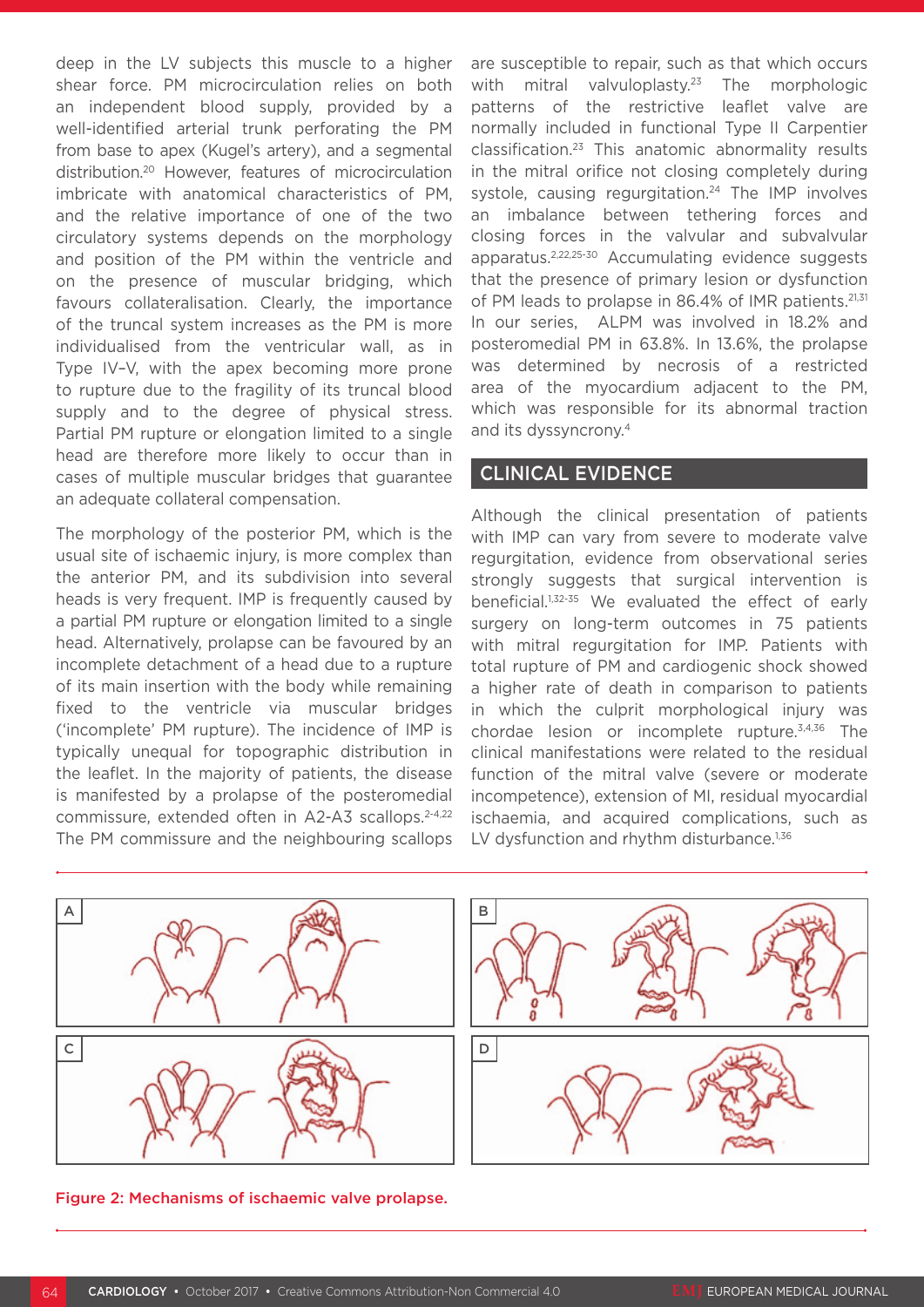deep in the LV subjects this muscle to a higher shear force. PM microcirculation relies on both an independent blood supply, provided by a well-identified arterial trunk perforating the PM from base to apex (Kugel's artery), and a segmental distribution.20 However, features of microcirculation imbricate with anatomical characteristics of PM, and the relative importance of one of the two circulatory systems depends on the morphology and position of the PM within the ventricle and on the presence of muscular bridging, which favours collateralisation. Clearly, the importance of the truncal system increases as the PM is more individualised from the ventricular wall, as in Type IV–V, with the apex becoming more prone to rupture due to the fragility of its truncal blood supply and to the degree of physical stress. Partial PM rupture or elongation limited to a single head are therefore more likely to occur than in cases of multiple muscular bridges that guarantee an adequate collateral compensation.

The morphology of the posterior PM, which is the usual site of ischaemic injury, is more complex than the anterior PM, and its subdivision into several heads is very frequent. IMP is frequently caused by a partial PM rupture or elongation limited to a single head. Alternatively, prolapse can be favoured by an incomplete detachment of a head due to a rupture of its main insertion with the body while remaining fixed to the ventricle via muscular bridges ('incomplete' PM rupture). The incidence of IMP is typically unequal for topographic distribution in the leaflet. In the majority of patients, the disease is manifested by a prolapse of the posteromedial commissure, extended often in A2-A3 scallops.<sup>2-4,22</sup> The PM commissure and the neighbouring scallops

are susceptible to repair, such as that which occurs with mitral valvuloplasty.<sup>23</sup> The morphologic patterns of the restrictive leaflet valve are normally included in functional Type II Carpentier classification.23 This anatomic abnormality results in the mitral orifice not closing completely during systole, causing regurgitation.<sup>24</sup> The IMP involves an imbalance between tethering forces and closing forces in the valvular and subvalvular apparatus.2,22,25-30 Accumulating evidence suggests that the presence of primary lesion or dysfunction of PM leads to prolapse in 86.4% of IMR patients.<sup>21,31</sup> In our series, ALPM was involved in 18.2% and posteromedial PM in 63.8%. In 13.6%, the prolapse was determined by necrosis of a restricted area of the myocardium adjacent to the PM, which was responsible for its abnormal traction and its dyssyncrony.4

#### CLINICAL EVIDENCE

Although the clinical presentation of patients with IMP can vary from severe to moderate valve regurgitation, evidence from observational series strongly suggests that surgical intervention is beneficial.1,32-35 We evaluated the effect of early surgery on long-term outcomes in 75 patients with mitral regurgitation for IMP. Patients with total rupture of PM and cardiogenic shock showed a higher rate of death in comparison to patients in which the culprit morphological injury was chordae lesion or incomplete rupture.3,4,36 The clinical manifestations were related to the residual function of the mitral valve (severe or moderate incompetence), extension of MI, residual myocardial ischaemia, and acquired complications, such as LV dysfunction and rhythm disturbance.<sup>1,36</sup>



Figure 2: Mechanisms of ischaemic valve prolapse.

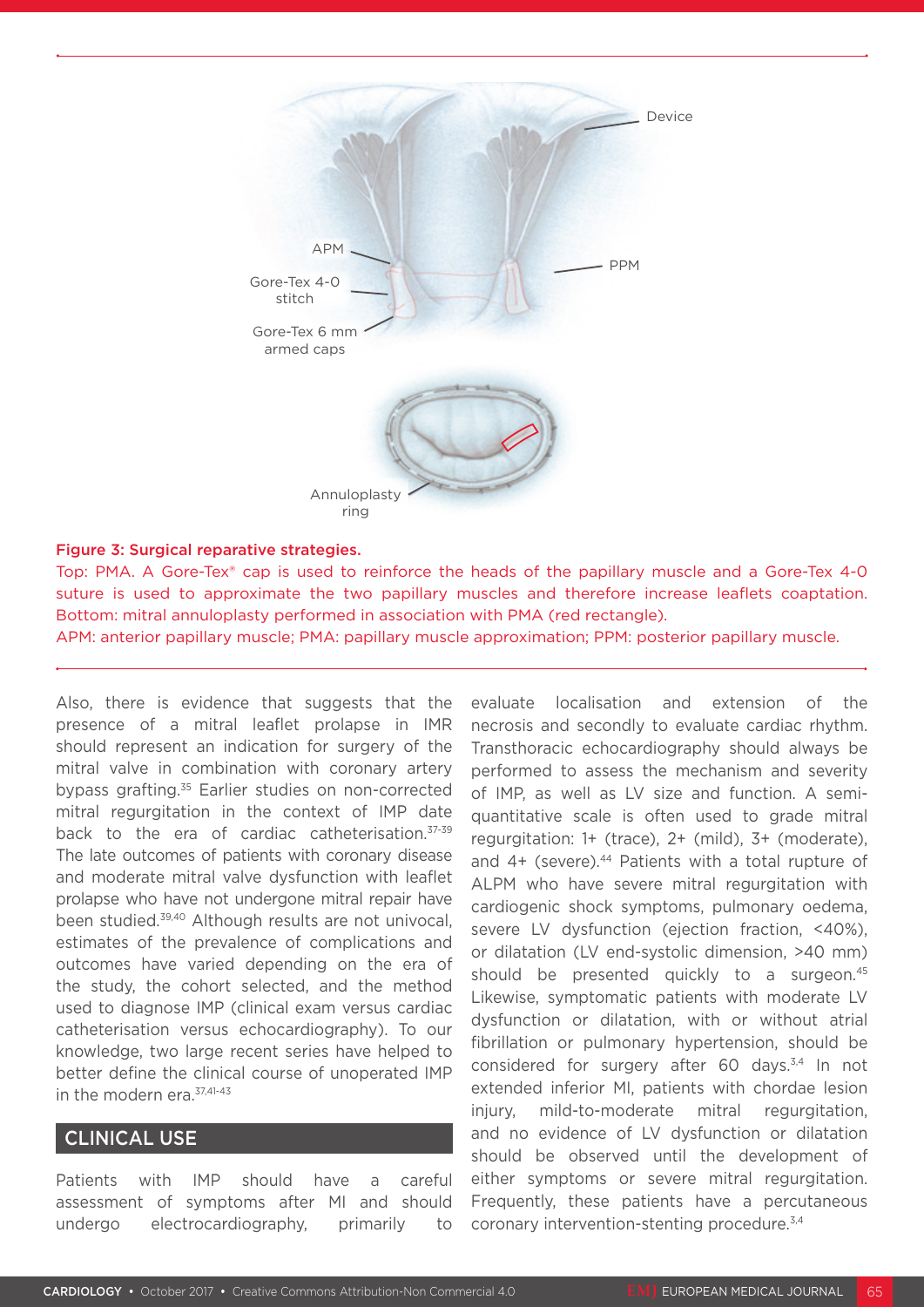

#### Figure 3: Surgical reparative strategies.

Top: PMA. A Gore-Tex® cap is used to reinforce the heads of the papillary muscle and a Gore-Tex 4-0 suture is used to approximate the two papillary muscles and therefore increase leaflets coaptation. Bottom: mitral annuloplasty performed in association with PMA (red rectangle).

APM: anterior papillary muscle; PMA: papillary muscle approximation; PPM: posterior papillary muscle.

Also, there is evidence that suggests that the presence of a mitral leaflet prolapse in IMR should represent an indication for surgery of the mitral valve in combination with coronary artery bypass grafting.35 Earlier studies on non-corrected mitral regurgitation in the context of IMP date back to the era of cardiac catheterisation. 37-39 The late outcomes of patients with coronary disease and moderate mitral valve dysfunction with leaflet prolapse who have not undergone mitral repair have been studied.39,40 Although results are not univocal, estimates of the prevalence of complications and outcomes have varied depending on the era of the study, the cohort selected, and the method used to diagnose IMP (clinical exam versus cardiac catheterisation versus echocardiography). To our knowledge, two large recent series have helped to better define the clinical course of unoperated IMP in the modern era.<sup>37,41-43</sup>

#### CLINICAL USE

Patients with IMP should have a careful assessment of symptoms after MI and should undergo electrocardiography, primarily to

evaluate localisation and extension of the necrosis and secondly to evaluate cardiac rhythm. Transthoracic echocardiography should always be performed to assess the mechanism and severity of IMP, as well as LV size and function. A semiquantitative scale is often used to grade mitral regurgitation: 1+ (trace), 2+ (mild), 3+ (moderate), and 4+ (severe).<sup>44</sup> Patients with a total rupture of ALPM who have severe mitral regurgitation with cardiogenic shock symptoms, pulmonary oedema, severe LV dysfunction (ejection fraction, <40%), or dilatation (LV end-systolic dimension, >40 mm) should be presented quickly to a surgeon.<sup>45</sup> Likewise, symptomatic patients with moderate LV dysfunction or dilatation, with or without atrial fibrillation or pulmonary hypertension, should be considered for surgery after 60 days.<sup>3,4</sup> In not extended inferior MI, patients with chordae lesion injury, mild-to-moderate mitral regurgitation, and no evidence of LV dysfunction or dilatation should be observed until the development of either symptoms or severe mitral regurgitation. Frequently, these patients have a percutaneous coronary intervention-stenting procedure.3,4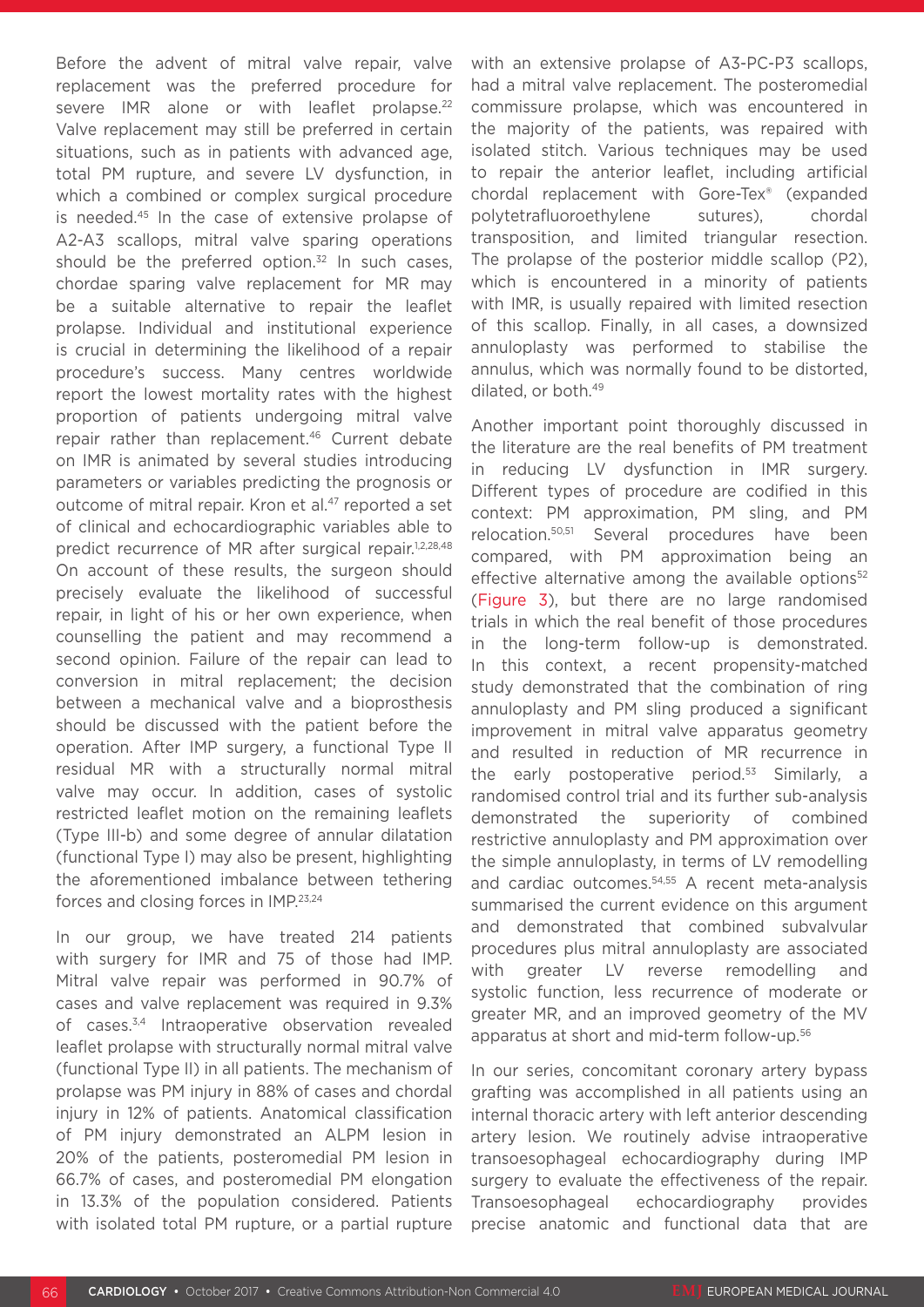Before the advent of mitral valve repair, valve replacement was the preferred procedure for severe IMR alone or with leaflet prolapse.<sup>22</sup> Valve replacement may still be preferred in certain situations, such as in patients with advanced age, total PM rupture, and severe LV dysfunction, in which a combined or complex surgical procedure is needed.45 In the case of extensive prolapse of A2-A3 scallops, mitral valve sparing operations should be the preferred option.<sup>32</sup> In such cases, chordae sparing valve replacement for MR may be a suitable alternative to repair the leaflet prolapse. Individual and institutional experience is crucial in determining the likelihood of a repair procedure's success. Many centres worldwide report the lowest mortality rates with the highest proportion of patients undergoing mitral valve repair rather than replacement.<sup>46</sup> Current debate on IMR is animated by several studies introducing parameters or variables predicting the prognosis or outcome of mitral repair. Kron et al.<sup>47</sup> reported a set of clinical and echocardiographic variables able to predict recurrence of MR after surgical repair.<sup>1,2,28,48</sup> On account of these results, the surgeon should precisely evaluate the likelihood of successful repair, in light of his or her own experience, when counselling the patient and may recommend a second opinion. Failure of the repair can lead to conversion in mitral replacement; the decision between a mechanical valve and a bioprosthesis should be discussed with the patient before the operation. After IMP surgery, a functional Type II residual MR with a structurally normal mitral valve may occur. In addition, cases of systolic restricted leaflet motion on the remaining leaflets (Type III-b) and some degree of annular dilatation (functional Type I) may also be present, highlighting the aforementioned imbalance between tethering forces and closing forces in IMP.23,24

In our group, we have treated 214 patients with surgery for IMR and 75 of those had IMP. Mitral valve repair was performed in 90.7% of cases and valve replacement was required in 9.3% of cases.3,4 Intraoperative observation revealed leaflet prolapse with structurally normal mitral valve (functional Type II) in all patients. The mechanism of prolapse was PM injury in 88% of cases and chordal injury in 12% of patients. Anatomical classification of PM injury demonstrated an ALPM lesion in 20% of the patients, posteromedial PM lesion in 66.7% of cases, and posteromedial PM elongation in 13.3% of the population considered. Patients with isolated total PM rupture, or a partial rupture

with an extensive prolapse of A3-PC-P3 scallops, had a mitral valve replacement. The posteromedial commissure prolapse, which was encountered in the majority of the patients, was repaired with isolated stitch. Various techniques may be used to repair the anterior leaflet, including artificial chordal replacement with Gore-Tex® (expanded polytetrafluoroethylene sutures), chordal transposition, and limited triangular resection. The prolapse of the posterior middle scallop (P2), which is encountered in a minority of patients with IMR, is usually repaired with limited resection of this scallop. Finally, in all cases, a downsized annuloplasty was performed to stabilise the annulus, which was normally found to be distorted, dilated, or both.49

Another important point thoroughly discussed in the literature are the real benefits of PM treatment in reducing LV dysfunction in IMR surgery. Different types of procedure are codified in this context: PM approximation, PM sling, and PM relocation.50,51 Several procedures have been compared, with PM approximation being an effective alternative among the available options<sup>52</sup> (Figure 3), but there are no large randomised trials in which the real benefit of those procedures in the long-term follow-up is demonstrated. In this context, a recent propensity-matched study demonstrated that the combination of ring annuloplasty and PM sling produced a significant improvement in mitral valve apparatus geometry and resulted in reduction of MR recurrence in the early postoperative period.<sup>53</sup> Similarly, a randomised control trial and its further sub-analysis demonstrated the superiority of combined restrictive annuloplasty and PM approximation over the simple annuloplasty, in terms of LV remodelling and cardiac outcomes.54,55 A recent meta-analysis summarised the current evidence on this argument and demonstrated that combined subvalvular procedures plus mitral annuloplasty are associated with greater LV reverse remodelling and systolic function, less recurrence of moderate or greater MR, and an improved geometry of the MV apparatus at short and mid-term follow-up.56

In our series, concomitant coronary artery bypass grafting was accomplished in all patients using an internal thoracic artery with left anterior descending artery lesion. We routinely advise intraoperative transoesophageal echocardiography during IMP surgery to evaluate the effectiveness of the repair. Transoesophageal echocardiography provides precise anatomic and functional data that are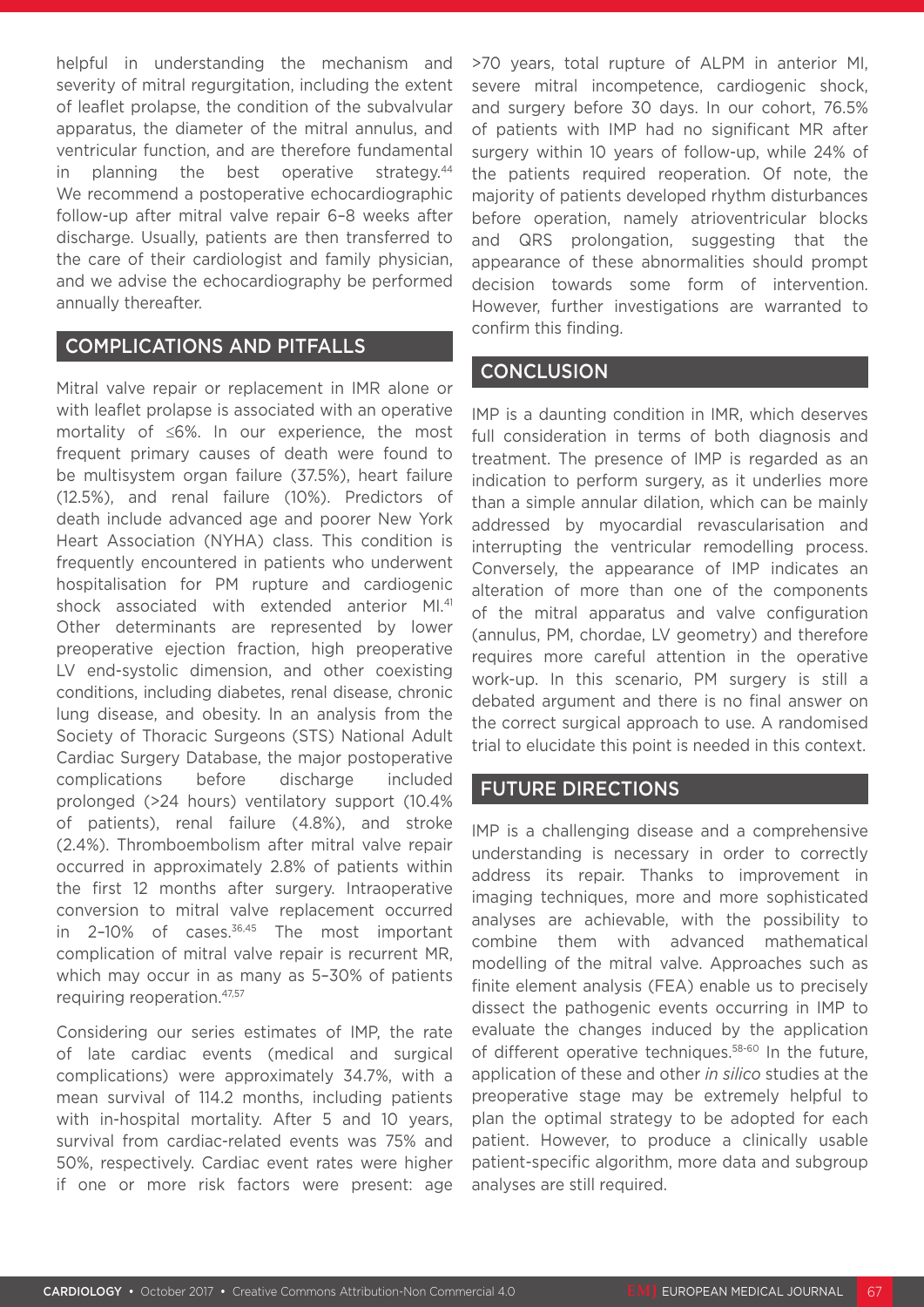helpful in understanding the mechanism and severity of mitral regurgitation, including the extent of leaflet prolapse, the condition of the subvalvular apparatus, the diameter of the mitral annulus, and ventricular function, and are therefore fundamental in planning the best operative strategy. $44$ We recommend a postoperative echocardiographic follow-up after mitral valve repair 6–8 weeks after discharge. Usually, patients are then transferred to the care of their cardiologist and family physician, and we advise the echocardiography be performed annually thereafter.

### COMPLICATIONS AND PITFALLS

Mitral valve repair or replacement in IMR alone or with leaflet prolapse is associated with an operative mortality of ≤6%. In our experience, the most frequent primary causes of death were found to be multisystem organ failure (37.5%), heart failure (12.5%), and renal failure (10%). Predictors of death include advanced age and poorer New York Heart Association (NYHA) class. This condition is frequently encountered in patients who underwent hospitalisation for PM rupture and cardiogenic shock associated with extended anterior MI.<sup>41</sup> Other determinants are represented by lower preoperative ejection fraction, high preoperative LV end-systolic dimension, and other coexisting conditions, including diabetes, renal disease, chronic lung disease, and obesity. In an analysis from the Society of Thoracic Surgeons (STS) National Adult Cardiac Surgery Database, the major postoperative complications before discharge included prolonged (>24 hours) ventilatory support (10.4% of patients), renal failure (4.8%), and stroke (2.4%). Thromboembolism after mitral valve repair occurred in approximately 2.8% of patients within the first 12 months after surgery. Intraoperative conversion to mitral valve replacement occurred in 2-10% of cases.<sup>36,45</sup> The most important complication of mitral valve repair is recurrent MR, which may occur in as many as 5–30% of patients requiring reoperation.47,57

Considering our series estimates of IMP, the rate of late cardiac events (medical and surgical complications) were approximately 34.7%, with a mean survival of 114.2 months, including patients with in-hospital mortality. After 5 and 10 years, survival from cardiac-related events was 75% and 50%, respectively. Cardiac event rates were higher if one or more risk factors were present: age

>70 years, total rupture of ALPM in anterior MI, severe mitral incompetence, cardiogenic shock, and surgery before 30 days. In our cohort, 76.5% of patients with IMP had no significant MR after surgery within 10 years of follow-up, while 24% of the patients required reoperation. Of note, the majority of patients developed rhythm disturbances before operation, namely atrioventricular blocks and QRS prolongation, suggesting that the appearance of these abnormalities should prompt decision towards some form of intervention. However, further investigations are warranted to confirm this finding.

#### **CONCLUSION**

IMP is a daunting condition in IMR, which deserves full consideration in terms of both diagnosis and treatment. The presence of IMP is regarded as an indication to perform surgery, as it underlies more than a simple annular dilation, which can be mainly addressed by myocardial revascularisation and interrupting the ventricular remodelling process. Conversely, the appearance of IMP indicates an alteration of more than one of the components of the mitral apparatus and valve configuration (annulus, PM, chordae, LV geometry) and therefore requires more careful attention in the operative work-up. In this scenario, PM surgery is still a debated argument and there is no final answer on the correct surgical approach to use. A randomised trial to elucidate this point is needed in this context.

## FUTURE DIRECTIONS

IMP is a challenging disease and a comprehensive understanding is necessary in order to correctly address its repair. Thanks to improvement in imaging techniques, more and more sophisticated analyses are achievable, with the possibility to combine them with advanced mathematical modelling of the mitral valve. Approaches such as finite element analysis (FEA) enable us to precisely dissect the pathogenic events occurring in IMP to evaluate the changes induced by the application of different operative techniques.<sup>58-60</sup> In the future, application of these and other *in silico* studies at the preoperative stage may be extremely helpful to plan the optimal strategy to be adopted for each patient. However, to produce a clinically usable patient-specific algorithm, more data and subgroup analyses are still required.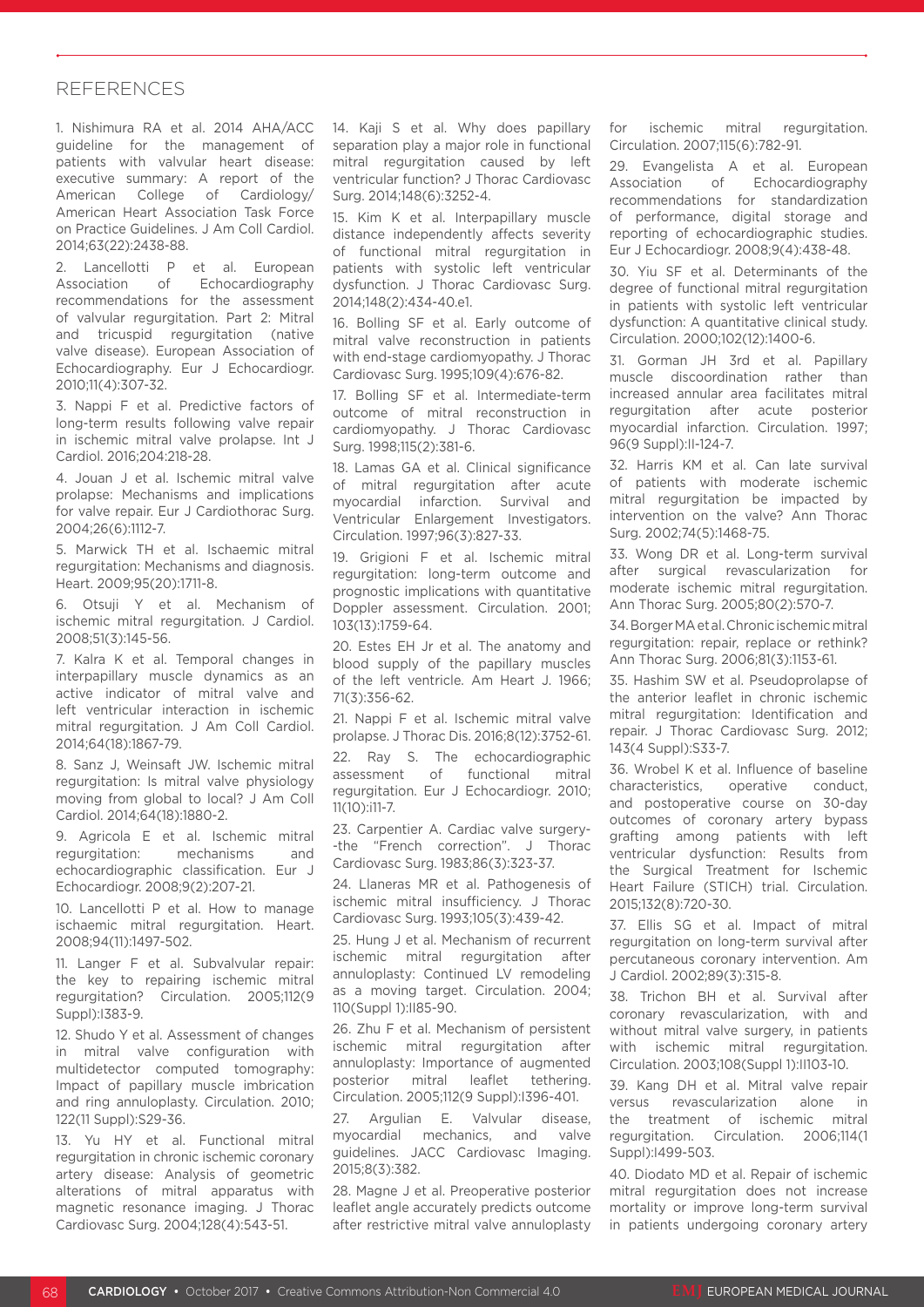#### REFERENCES

1. Nishimura RA et al. 2014 AHA/ACC guideline for the management of patients with valvular heart disease: executive summary: A report of the American College of Cardiology/ American Heart Association Task Force on Practice Guidelines. J Am Coll Cardiol. 2014;63(22):2438-88.

2. Lancellotti P et al. European Association of Echocardiography recommendations for the assessment of valvular regurgitation. Part 2: Mitral and tricuspid regurgitation (native valve disease). European Association of Echocardiography. Eur J Echocardiogr. 2010;11(4):307-32.

3. Nappi F et al. Predictive factors of long-term results following valve repair in ischemic mitral valve prolapse. Int J Cardiol. 2016;204:218-28.

4. Jouan J et al. Ischemic mitral valve prolapse: Mechanisms and implications for valve repair. Eur J Cardiothorac Surg. 2004;26(6):1112-7.

5. Marwick TH et al. Ischaemic mitral regurgitation: Mechanisms and diagnosis. Heart. 2009;95(20):1711-8.

6. Otsuji Y et al. Mechanism of ischemic mitral regurgitation. J Cardiol. 2008;51(3):145-56.

7. Kalra K et al. Temporal changes in interpapillary muscle dynamics as an active indicator of mitral valve and left ventricular interaction in ischemic mitral regurgitation. J Am Coll Cardiol. 2014;64(18):1867-79.

8. Sanz J, Weinsaft JW. Ischemic mitral regurgitation: Is mitral valve physiology moving from global to local? J Am Coll Cardiol. 2014;64(18):1880-2.

9. Agricola E et al. Ischemic mitral regurgitation: mechanisms and echocardiographic classification. Eur J Echocardiogr. 2008;9(2):207-21.

10. Lancellotti P et al. How to manage ischaemic mitral regurgitation. Heart. 2008;94(11):1497-502.

11. Langer F et al. Subvalvular repair: the key to repairing ischemic mitral regurgitation? Circulation. 2005;112(9 Suppl):I383-9.

12. Shudo Y et al. Assessment of changes in mitral valve configuration with multidetector computed tomography: Impact of papillary muscle imbrication and ring annuloplasty. Circulation. 2010; 122(11 Suppl):S29-36.

13. Yu HY et al. Functional mitral regurgitation in chronic ischemic coronary artery disease: Analysis of geometric alterations of mitral apparatus with magnetic resonance imaging. J Thorac Cardiovasc Surg. 2004;128(4):543-51.

14. Kaii S et al. Why does papillary separation play a major role in functional mitral regurgitation caused by left ventricular function? J Thorac Cardiovasc Surg. 2014;148(6):3252-4.

15. Kim K et al. Interpapillary muscle distance independently affects severity of functional mitral regurgitation in patients with systolic left ventricular dysfunction. J Thorac Cardiovasc Surg. 2014;148(2):434-40.e1.

16. Bolling SF et al. Early outcome of mitral valve reconstruction in patients with end-stage cardiomyopathy. J Thorac Cardiovasc Surg. 1995;109(4):676-82.

17. Bolling SF et al. Intermediate-term outcome of mitral reconstruction in cardiomyopathy. J Thorac Cardiovasc Surg. 1998;115(2):381-6.

18. Lamas GA et al. Clinical significance of mitral regurgitation after acute myocardial infarction. Survival and Ventricular Enlargement Investigators. Circulation. 1997;96(3):827-33.

19. Grigioni F et al. Ischemic mitral regurgitation: long-term outcome and prognostic implications with quantitative Doppler assessment. Circulation. 2001; 103(13):1759-64.

20. Estes EH Jr et al. The anatomy and blood supply of the papillary muscles of the left ventricle. Am Heart J. 1966; 71(3):356-62.

21. Nappi F et al. Ischemic mitral valve prolapse. J Thorac Dis. 2016;8(12):3752-61.

22. Ray S. The echocardiographic assessment of functional mitral regurgitation. Eur J Echocardiogr. 2010; 11(10):i11-7.

23. Carpentier A. Cardiac valve surgery- -the "French correction". J Thorac Cardiovasc Surg. 1983;86(3):323-37.

24. Llaneras MR et al. Pathogenesis of ischemic mitral insufficiency. J Thorac Cardiovasc Surg. 1993;105(3):439-42.

25. Hung J et al. Mechanism of recurrent ischemic mitral regurgitation after annuloplasty: Continued LV remodeling as a moving target. Circulation. 2004; 110(Suppl 1):II85-90.

26. Zhu F et al. Mechanism of persistent ischemic mitral regurgitation after annuloplasty: Importance of augmented posterior mitral leaflet tethering. Circulation. 2005;112(9 Suppl):I396-401.

27. Argulian E. Valvular disease, myocardial mechanics, and valve guidelines. JACC Cardiovasc Imaging. 2015;8(3):382.

28. Magne J et al. Preoperative posterior leaflet angle accurately predicts outcome after restrictive mitral valve annuloplasty for ischemic mitral regurgitation. Circulation. 2007;115(6):782-91.

29. Evangelista A et al. European Association of Echocardiography recommendations for standardization of performance, digital storage and reporting of echocardiographic studies. Eur J Echocardiogr. 2008;9(4):438-48.

30. Yiu SF et al. Determinants of the degree of functional mitral regurgitation in patients with systolic left ventricular dysfunction: A quantitative clinical study. Circulation. 2000;102(12):1400-6.

31. Gorman JH 3rd et al. Papillary muscle discoordination rather than increased annular area facilitates mitral regurgitation after acute posterior myocardial infarction. Circulation. 1997; 96(9 Suppl):II-124-7.

32. Harris KM et al. Can late survival of patients with moderate ischemic mitral regurgitation be impacted by intervention on the valve? Ann Thorac Surg. 2002;74(5):1468-75.

33. Wong DR et al. Long-term survival after surgical revascularization for moderate ischemic mitral regurgitation. Ann Thorac Surg. 2005;80(2):570-7.

34. Borger MA et al. Chronic ischemic mitral regurgitation: repair, replace or rethink? Ann Thorac Surg. 2006;81(3):1153-61.

35. Hashim SW et al. Pseudoprolapse of the anterior leaflet in chronic ischemic mitral regurgitation: Identification and repair. J Thorac Cardiovasc Surg. 2012; 143(4 Suppl):S33-7.

36. Wrobel K et al. Influence of baseline characteristics, operative conduct, and postoperative course on 30-day outcomes of coronary artery bypass grafting among patients with left ventricular dysfunction: Results from the Surgical Treatment for Ischemic Heart Failure (STICH) trial. Circulation. 2015;132(8):720-30.

37. Ellis SG et al. Impact of mitral regurgitation on long-term survival after percutaneous coronary intervention. Am J Cardiol. 2002;89(3):315-8.

38. Trichon BH et al. Survival after coronary revascularization, with and without mitral valve surgery, in patients with ischemic mitral regurgitation. Circulation. 2003;108(Suppl 1):II103-10.

39. Kang DH et al. Mitral valve repair versus revascularization alone in the treatment of ischemic mitral regurgitation. Circulation. 2006;114(1 Suppl):I499-503.

40. Diodato MD et al. Repair of ischemic mitral regurgitation does not increase mortality or improve long-term survival in patients undergoing coronary artery